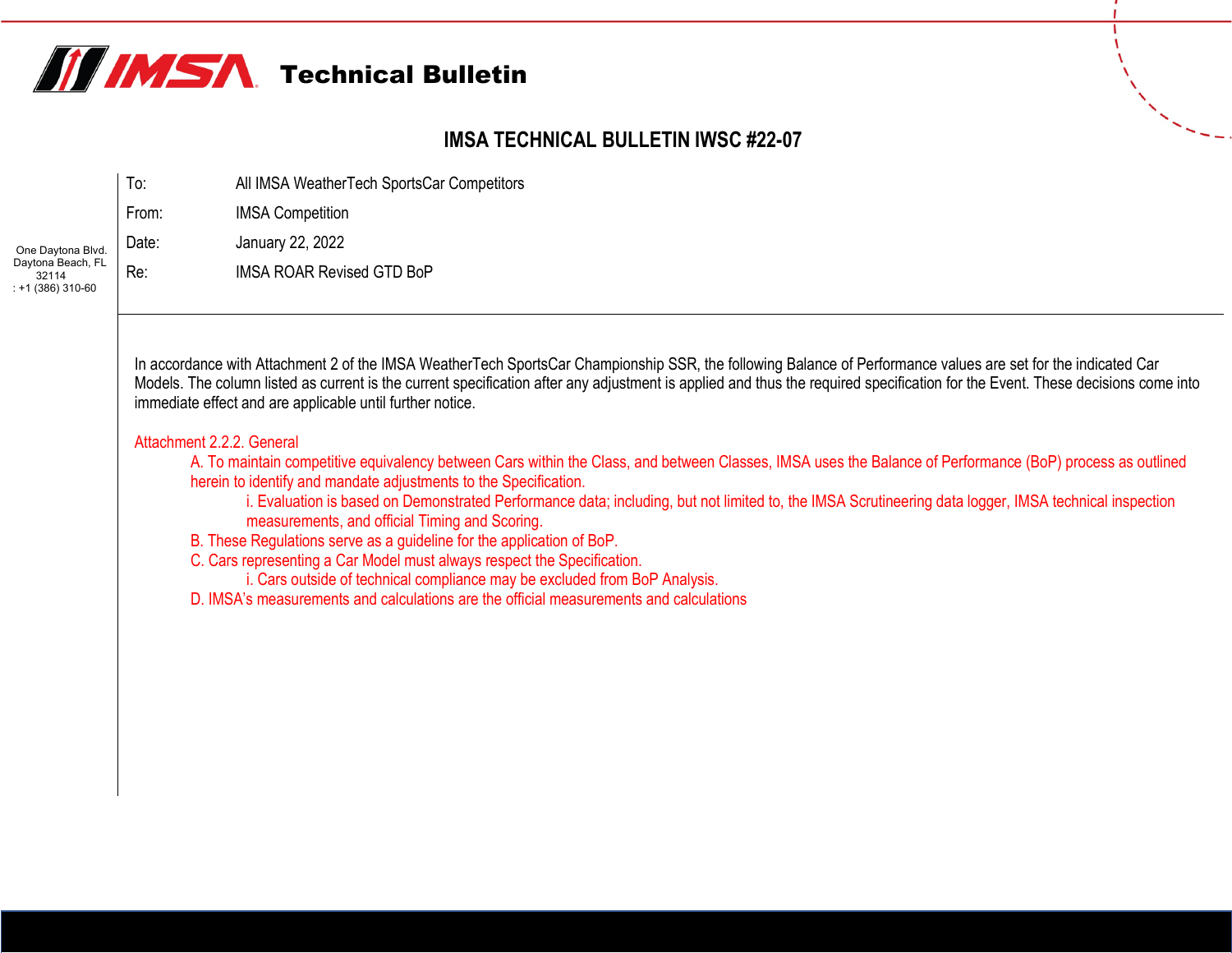

## **IMSA TECHNICAL BULLETIN IWSC #22-07**

|                                                 | To:   | All IMSA WeatherTech SportsCar Competitors |
|-------------------------------------------------|-------|--------------------------------------------|
|                                                 | From: | <b>IMSA Competition</b>                    |
| One Daytona Blvd.                               | Date: | January 22, 2022                           |
| Daytona Beach, FL<br>32114<br>$: +1(386)310-60$ | Re:   | <b>IMSA ROAR Revised GTD BoP</b>           |

In accordance with Attachment 2 of the IMSA WeatherTech SportsCar Championship SSR, the following Balance of Performance values are set for the indicated Car Models. The column listed as current is the current specification after any adjustment is applied and thus the required specification for the Event. These decisions come into immediate effect and are applicable until further notice.

## Attachment 2.2.2. General

A. To maintain competitive equivalency between Cars within the Class, and between Classes, IMSA uses the Balance of Performance (BoP) process as outlined herein to identify and mandate adjustments to the Specification.

i. Evaluation is based on Demonstrated Performance data; including, but not limited to, the IMSA Scrutineering data logger, IMSA technical inspection measurements, and official Timing and Scoring.

B. These Regulations serve as a guideline for the application of BoP.

C. Cars representing a Car Model must always respect the Specification.

i. Cars outside of technical compliance may be excluded from BoP Analysis.

D. IMSA's measurements and calculations are the official measurements and calculations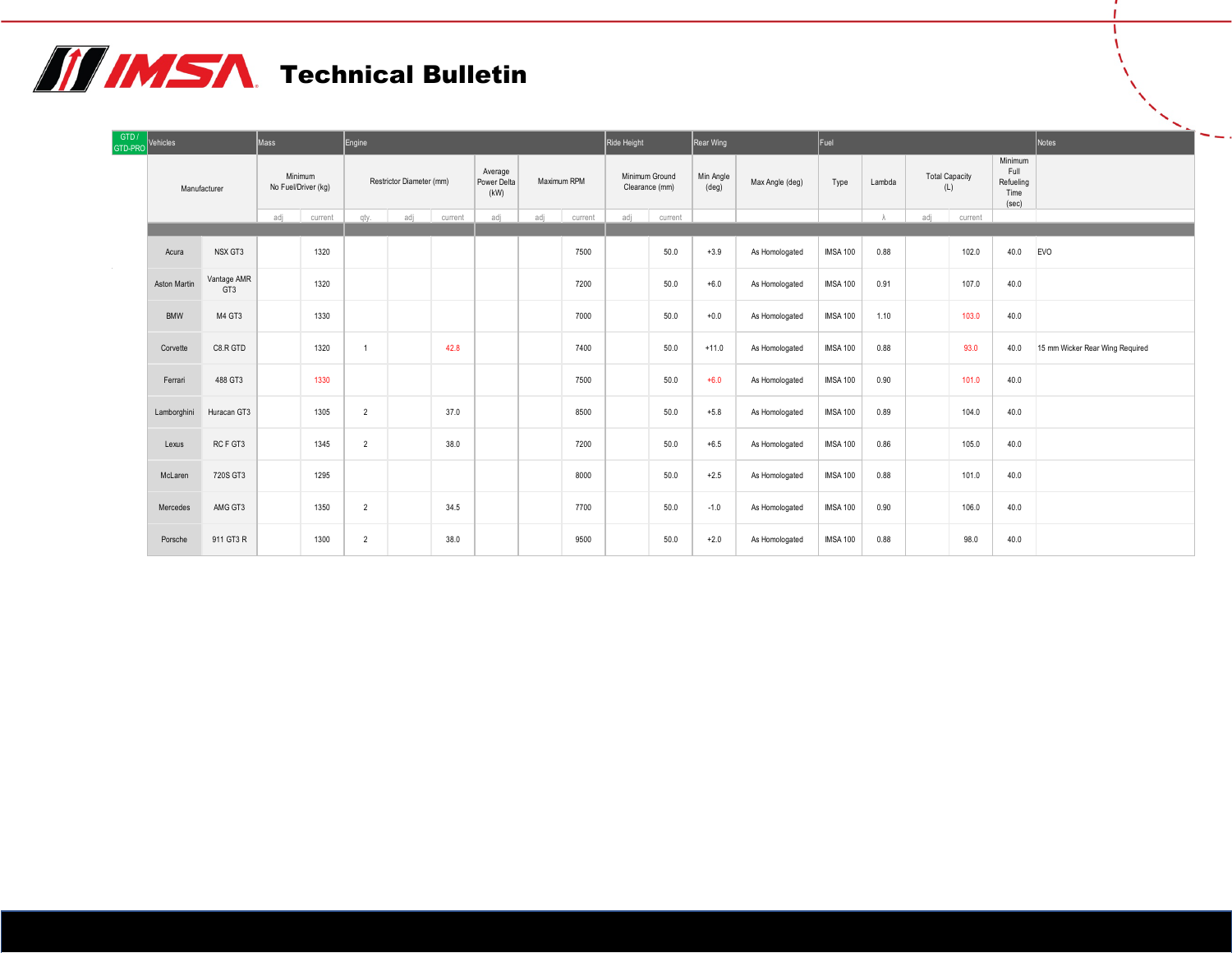## **TE IMSA** Technical Bulletin

| GTD /<br>GTD-PRO | Vehicles     |                    | Mass                           |         | Engine         |                          |         |                                |             |         | Ride Height |                                  | Rear Wing          |                 | Fuel            |        |                              |         |                                               | Notes                           |
|------------------|--------------|--------------------|--------------------------------|---------|----------------|--------------------------|---------|--------------------------------|-------------|---------|-------------|----------------------------------|--------------------|-----------------|-----------------|--------|------------------------------|---------|-----------------------------------------------|---------------------------------|
|                  | Manufacturer |                    | Minimum<br>No Fuel/Driver (kg) |         |                | Restrictor Diameter (mm) |         | Average<br>Power Delta<br>(kW) | Maximum RPM |         |             | Minimum Ground<br>Clearance (mm) | Min Angle<br>(deg) | Max Angle (deg) | Type            | Lambda | <b>Total Capacity</b><br>(L) |         | Minimum<br>Full<br>Refueling<br>Time<br>(sec) |                                 |
|                  |              |                    | adj                            | current | qty.           | adj                      | current | adj                            | adi         | current | adj         | current                          |                    |                 |                 |        | adi                          | current |                                               |                                 |
|                  | Acura        | NSX GT3            |                                | 1320    |                |                          |         |                                |             | 7500    |             | 50.0                             | $+3.9$             | As Homologated  | <b>IMSA 100</b> | 0.88   |                              | 102.0   | 40.0                                          | <b>EVO</b>                      |
|                  | Aston Martin | Vantage AMR<br>GT3 |                                | 1320    |                |                          |         |                                |             | 7200    |             | 50.0                             | $+6.0$             | As Homologated  | <b>IMSA 100</b> | 0.91   |                              | 107.0   | 40.0                                          |                                 |
|                  | <b>BMW</b>   | M4 GT3             |                                | 1330    |                |                          |         |                                |             | 7000    |             | 50.0                             | $+0.0$             | As Homologated  | <b>IMSA 100</b> | 1.10   |                              | 103.0   | 40.0                                          |                                 |
|                  | Corvette     | C8.R GTD           |                                | 1320    |                |                          | 42.8    |                                |             | 7400    |             | 50.0                             | $+11.0$            | As Homologated  | <b>IMSA 100</b> | 0.88   |                              | 93.0    | 40.0                                          | 15 mm Wicker Rear Wing Required |
|                  | Ferrari      | 488 GT3            |                                | 1330    |                |                          |         |                                |             | 7500    |             | 50.0                             | $+6.0$             | As Homologated  | <b>IMSA 100</b> | 0.90   |                              | 101.0   | 40.0                                          |                                 |
|                  | Lamborghini  | Huracan GT3        |                                | 1305    | $\overline{2}$ |                          | 37.0    |                                |             | 8500    |             | 50.0                             | $+5.8$             | As Homologated  | <b>IMSA 100</b> | 0.89   |                              | 104.0   | 40.0                                          |                                 |
|                  | Lexus        | RCF GT3            |                                | 1345    | $\overline{2}$ |                          | 38.0    |                                |             | 7200    |             | 50.0                             | $+6.5$             | As Homologated  | <b>IMSA 100</b> | 0.86   |                              | 105.0   | 40.0                                          |                                 |
|                  | McLaren      | 720S GT3           |                                | 1295    |                |                          |         |                                |             | 8000    |             | 50.0                             | $+2.5$             | As Homologated  | <b>IMSA 100</b> | 0.88   |                              | 101.0   | 40.0                                          |                                 |
|                  | Mercedes     | AMG GT3            |                                | 1350    | $\overline{2}$ |                          | 34.5    |                                |             | 7700    |             | 50.0                             | $-1.0$             | As Homologated  | <b>IMSA 100</b> | 0.90   |                              | 106.0   | 40.0                                          |                                 |
|                  | Porsche      | 911 GT3 R          |                                | 1300    | $\overline{2}$ |                          | 38.0    |                                |             | 9500    |             | 50.0                             | $+2.0$             | As Homologated  | <b>IMSA 100</b> | 0.88   |                              | 98.0    | 40.0                                          |                                 |